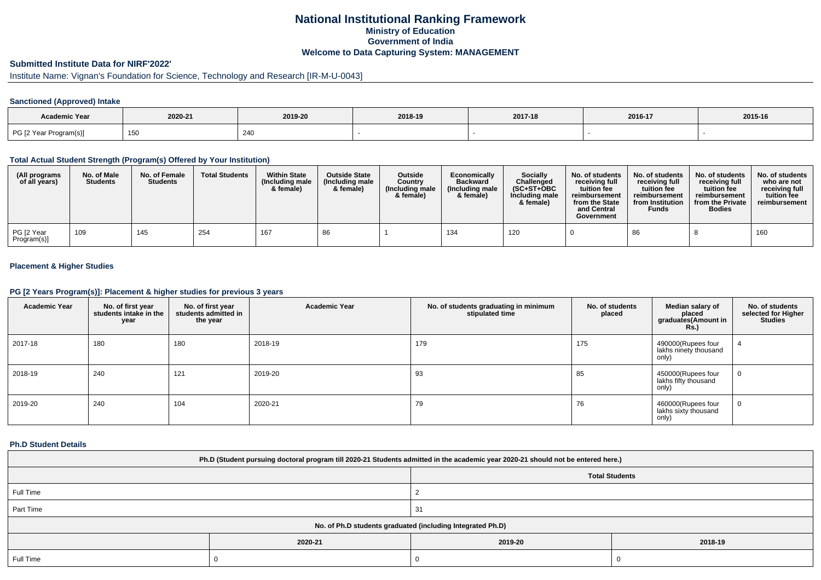## **National Institutional Ranking FrameworkMinistry of Education Government of IndiaWelcome to Data Capturing System: MANAGEMENT**

# **Submitted Institute Data for NIRF'2022'**

# Institute Name: Vignan's Foundation for Science, Technology and Research [IR-M-U-0043]

## **Sanctioned (Approved) Intake**

| Academic Year          |            |         |         |         |         |         |
|------------------------|------------|---------|---------|---------|---------|---------|
|                        | 2020-21    | 2019-20 | 2018-19 | 2017-18 | 2016-17 | 2015-16 |
| PG [2 Year Program(s)] | 150<br>।∪५ | 240     |         |         |         |         |

### **Total Actual Student Strength (Program(s) Offered by Your Institution)**

| (All programs<br>of all years) | No. of Male<br><b>Students</b> | No. of Female<br><b>Students</b> | <b>Total Students</b> | <b>Within State</b><br>(Including male<br>& female) | <b>Outside State</b><br>(Including male<br>& female) | <b>Outside</b><br>Country<br>(Including male<br>& female) | Economically<br><b>Backward</b><br>(Including male<br>& female) | <b>Socially</b><br>Challenged<br>$(SC+ST+OBC$<br>Including male<br>& female) | No. of students<br>receiving full<br>tuition fee<br>reimbursement<br>from the State<br>and Central<br>Government | No. of students<br>receiving full<br>tuition fee<br>reimbursement<br>from Institution<br><b>Funds</b> | No. of students<br>receiving full<br>tuition fee<br>reimbursement<br>from the Private<br><b>Bodies</b> | No. of students<br>who are not<br>receiving full<br>tuition fee<br>reimbursement |
|--------------------------------|--------------------------------|----------------------------------|-----------------------|-----------------------------------------------------|------------------------------------------------------|-----------------------------------------------------------|-----------------------------------------------------------------|------------------------------------------------------------------------------|------------------------------------------------------------------------------------------------------------------|-------------------------------------------------------------------------------------------------------|--------------------------------------------------------------------------------------------------------|----------------------------------------------------------------------------------|
| PG [2 Year<br>Program(s)]      | 109                            | 145                              | 254                   | 167                                                 | 86                                                   |                                                           | 134                                                             | 120                                                                          |                                                                                                                  | 86                                                                                                    |                                                                                                        | 160                                                                              |

## **Placement & Higher Studies**

### **PG [2 Years Program(s)]: Placement & higher studies for previous 3 years**

| <b>Academic Year</b> | No. of first year<br>students intake in the<br>year | No. of first year<br>students admitted in<br>the year | <b>Academic Year</b> | No. of students graduating in minimum<br>stipulated time | No. of students<br>placed | Median salary of<br>placed<br>graduates(Amount in<br><b>Rs.</b> ) | No. of students<br>selected for Higher<br><b>Studies</b> |
|----------------------|-----------------------------------------------------|-------------------------------------------------------|----------------------|----------------------------------------------------------|---------------------------|-------------------------------------------------------------------|----------------------------------------------------------|
| 2017-18              | 180                                                 | 180                                                   | 2018-19              | 179                                                      | 175                       | 490000(Rupees four<br>lakhs ninety thousand<br>only)              |                                                          |
| 2018-19              | 240                                                 | 121                                                   | 2019-20              | 93                                                       | 85                        | 450000(Rupees four<br>lakhs fifty thousand<br>only)               | U                                                        |
| 2019-20              | 240                                                 | 104                                                   | 2020-21              | 79                                                       | 76                        | 460000(Rupees four<br>lakhs sixty thousand<br>only)               | v                                                        |

#### **Ph.D Student Details**

| Ph.D (Student pursuing doctoral program till 2020-21 Students admitted in the academic year 2020-21 should not be entered here.) |         |                       |         |  |  |  |
|----------------------------------------------------------------------------------------------------------------------------------|---------|-----------------------|---------|--|--|--|
|                                                                                                                                  |         | <b>Total Students</b> |         |  |  |  |
| Full Time                                                                                                                        |         |                       |         |  |  |  |
| Part Time                                                                                                                        |         | -31                   |         |  |  |  |
| No. of Ph.D students graduated (including Integrated Ph.D)                                                                       |         |                       |         |  |  |  |
|                                                                                                                                  | 2020-21 | 2019-20               | 2018-19 |  |  |  |
| Full Time                                                                                                                        |         |                       |         |  |  |  |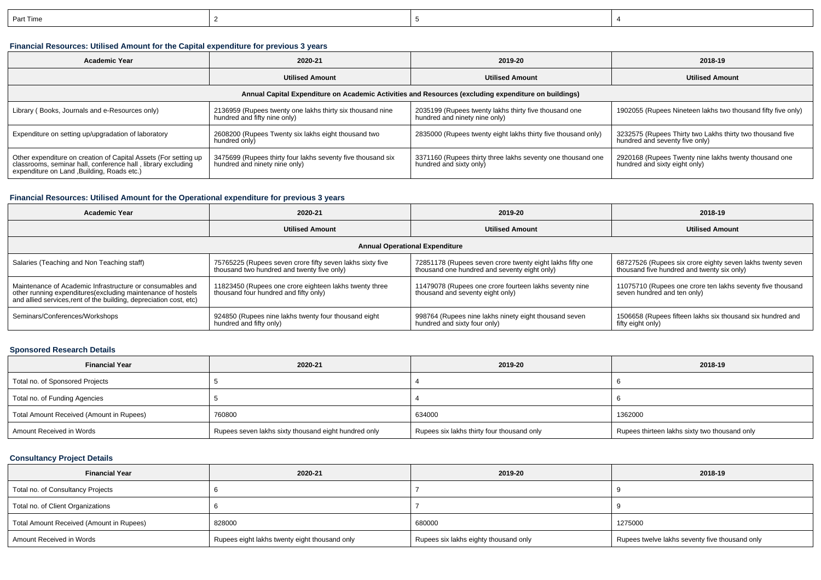| Part Time |  |  |
|-----------|--|--|
|           |  |  |

## **Financial Resources: Utilised Amount for the Capital expenditure for previous 3 years**

| <b>Academic Year</b>                                                                                                                                                           | 2020-21                                                                                      | 2019-20                                                                                | 2018-19                                                                                     |  |  |  |  |  |
|--------------------------------------------------------------------------------------------------------------------------------------------------------------------------------|----------------------------------------------------------------------------------------------|----------------------------------------------------------------------------------------|---------------------------------------------------------------------------------------------|--|--|--|--|--|
|                                                                                                                                                                                | <b>Utilised Amount</b>                                                                       | <b>Utilised Amount</b>                                                                 | <b>Utilised Amount</b>                                                                      |  |  |  |  |  |
| Annual Capital Expenditure on Academic Activities and Resources (excluding expenditure on buildings)                                                                           |                                                                                              |                                                                                        |                                                                                             |  |  |  |  |  |
| Library (Books, Journals and e-Resources only)                                                                                                                                 | 2136959 (Rupees twenty one lakhs thirty six thousand nine<br>hundred and fifty nine only)    | 2035199 (Rupees twenty lakhs thirty five thousand one<br>hundred and ninety nine only) | 1902055 (Rupees Nineteen lakhs two thousand fifty five only)                                |  |  |  |  |  |
| Expenditure on setting up/upgradation of laboratory                                                                                                                            | 2608200 (Rupees Twenty six lakhs eight thousand two<br>hundred only)                         | 2835000 (Rupees twenty eight lakhs thirty five thousand only)                          | 3232575 (Rupees Thirty two Lakhs thirty two thousand five<br>hundred and seventy five only) |  |  |  |  |  |
| Other expenditure on creation of Capital Assets (For setting up<br>classrooms, seminar hall, conference hall, library excluding<br>expenditure on Land , Building, Roads etc.) | 3475699 (Rupees thirty four lakhs seventy five thousand six<br>hundred and ninety nine only) | 3371160 (Rupees thirty three lakhs seventy one thousand one<br>hundred and sixty only) | 2920168 (Rupees Twenty nine lakhs twenty thousand one<br>hundred and sixty eight only)      |  |  |  |  |  |

## **Financial Resources: Utilised Amount for the Operational expenditure for previous 3 years**

| <b>Academic Year</b>                                                                                                                                                                            | 2020-21                                                                                                 | 2019-20                                                                                                   | 2018-19                                                                                                  |  |  |  |  |  |
|-------------------------------------------------------------------------------------------------------------------------------------------------------------------------------------------------|---------------------------------------------------------------------------------------------------------|-----------------------------------------------------------------------------------------------------------|----------------------------------------------------------------------------------------------------------|--|--|--|--|--|
|                                                                                                                                                                                                 | <b>Utilised Amount</b>                                                                                  | <b>Utilised Amount</b>                                                                                    | <b>Utilised Amount</b>                                                                                   |  |  |  |  |  |
| <b>Annual Operational Expenditure</b>                                                                                                                                                           |                                                                                                         |                                                                                                           |                                                                                                          |  |  |  |  |  |
| Salaries (Teaching and Non Teaching staff)                                                                                                                                                      | 75765225 (Rupees seven crore fifty seven lakhs sixty five<br>thousand two hundred and twenty five only) | 72851178 (Rupees seven crore twenty eight lakhs fifty one<br>thousand one hundred and seventy eight only) | 68727526 (Rupees six crore eighty seven lakhs twenty seven<br>thousand five hundred and twenty six only) |  |  |  |  |  |
| Maintenance of Academic Infrastructure or consumables and<br>other running expenditures (excluding maintenance of hostels<br>and allied services, rent of the building, depreciation cost, etc) | 11823450 (Rupees one crore eighteen lakhs twenty three<br>thousand four hundred and fifty only)         | 11479078 (Rupees one crore fourteen lakhs seventy nine<br>thousand and seventy eight only)                | 11075710 (Rupees one crore ten lakhs seventy five thousand<br>seven hundred and ten only)                |  |  |  |  |  |
| Seminars/Conferences/Workshops                                                                                                                                                                  | 924850 (Rupees nine lakhs twenty four thousand eight<br>hundred and fifty only)                         | 998764 (Rupees nine lakhs ninety eight thousand seven<br>hundred and sixty four only)                     | 1506658 (Rupees fifteen lakhs six thousand six hundred and<br>fifty eight only)                          |  |  |  |  |  |

#### **Sponsored Research Details**

| <b>Financial Year</b>                    | 2020-21                                              | 2019-20                                    | 2018-19                                       |
|------------------------------------------|------------------------------------------------------|--------------------------------------------|-----------------------------------------------|
| Total no. of Sponsored Projects          |                                                      |                                            |                                               |
| Total no. of Funding Agencies            |                                                      |                                            |                                               |
| Total Amount Received (Amount in Rupees) | 760800                                               | 634000                                     | 1362000                                       |
| Amount Received in Words                 | Rupees seven lakhs sixty thousand eight hundred only | Rupees six lakhs thirty four thousand only | Rupees thirteen lakhs sixty two thousand only |

## **Consultancy Project Details**

| <b>Financial Year</b>                    | 2020-21                                       | 2019-20                               | 2018-19                                        |
|------------------------------------------|-----------------------------------------------|---------------------------------------|------------------------------------------------|
| Total no. of Consultancy Projects        |                                               |                                       |                                                |
| Total no. of Client Organizations        |                                               |                                       |                                                |
| Total Amount Received (Amount in Rupees) | 828000                                        | 680000                                | 1275000                                        |
| Amount Received in Words                 | Rupees eight lakhs twenty eight thousand only | Rupees six lakhs eighty thousand only | Rupees twelve lakhs seventy five thousand only |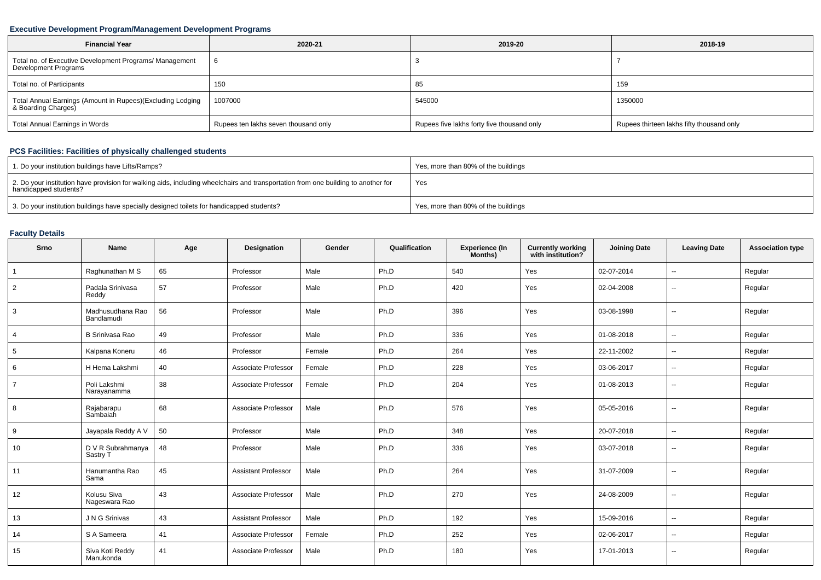## **Executive Development Program/Management Development Programs**

| <b>Financial Year</b>                                                             | 2020-21                              | 2019-20                                    | 2018-19                                   |  |
|-----------------------------------------------------------------------------------|--------------------------------------|--------------------------------------------|-------------------------------------------|--|
| Total no. of Executive Development Programs/ Management<br>Development Programs   |                                      |                                            |                                           |  |
| Total no. of Participants                                                         | 150                                  | 85                                         | 159                                       |  |
| Total Annual Earnings (Amount in Rupees)(Excluding Lodging<br>& Boarding Charges) | 1007000                              | 545000                                     | 1350000                                   |  |
| Total Annual Earnings in Words                                                    | Rupees ten lakhs seven thousand only | Rupees five lakhs forty five thousand only | Rupees thirteen lakhs fifty thousand only |  |

# **PCS Facilities: Facilities of physically challenged students**

| 1. Do your institution buildings have Lifts/Ramps?                                                                                                         | Yes, more than 80% of the buildings |
|------------------------------------------------------------------------------------------------------------------------------------------------------------|-------------------------------------|
| 2. Do your institution have provision for walking aids, including wheelchairs and transportation from one building to another for<br>handicapped students? | Yes                                 |
| 3. Do your institution buildings have specially designed toilets for handicapped students?                                                                 | Yes, more than 80% of the buildings |

## **Faculty Details**

| Srno            | <b>Name</b>                    | Age | Designation                | Gender | Qualification | Experience (In<br>Months) | <b>Currently working</b><br>with institution? | <b>Joining Date</b> | <b>Leaving Date</b>      | <b>Association type</b> |
|-----------------|--------------------------------|-----|----------------------------|--------|---------------|---------------------------|-----------------------------------------------|---------------------|--------------------------|-------------------------|
| $\overline{1}$  | Raghunathan M S                | 65  | Professor                  | Male   | Ph.D          | 540                       | Yes                                           | 02-07-2014          | $\sim$                   | Regular                 |
| $\overline{2}$  | Padala Srinivasa<br>Reddy      | 57  | Professor                  | Male   | Ph.D          | 420                       | Yes                                           | 02-04-2008          | $\sim$                   | Regular                 |
| 3               | Madhusudhana Rao<br>Bandlamudi | 56  | Professor                  | Male   | Ph.D          | 396                       | Yes                                           | 03-08-1998          | $\overline{\phantom{a}}$ | Regular                 |
| 4               | <b>B Srinivasa Rao</b>         | 49  | Professor                  | Male   | Ph.D          | 336                       | Yes                                           | 01-08-2018          | $\sim$                   | Regular                 |
| $5\overline{)}$ | Kalpana Koneru                 | 46  | Professor                  | Female | Ph.D          | 264                       | Yes                                           | 22-11-2002          | $\sim$                   | Regular                 |
| 6               | H Hema Lakshmi                 | 40  | Associate Professor        | Female | Ph.D          | 228                       | Yes                                           | 03-06-2017          | $\sim$                   | Regular                 |
| $\overline{7}$  | Poli Lakshmi<br>Narayanamma    | 38  | Associate Professor        | Female | Ph.D          | 204                       | Yes                                           | 01-08-2013          | $\mathbf{u}$             | Regular                 |
| 8               | Rajabarapu<br>Sambaiah         | 68  | Associate Professor        | Male   | Ph.D          | 576                       | Yes                                           | 05-05-2016          | $\overline{\phantom{a}}$ | Regular                 |
| 9               | Jayapala Reddy A V             | 50  | Professor                  | Male   | Ph.D          | 348                       | Yes                                           | 20-07-2018          | $\sim$                   | Regular                 |
| 10              | D V R Subrahmanya<br>Sastry T  | 48  | Professor                  | Male   | Ph.D          | 336                       | Yes                                           | 03-07-2018          | $\overline{\phantom{a}}$ | Regular                 |
| 11              | Hanumantha Rao<br>Sama         | 45  | <b>Assistant Professor</b> | Male   | Ph.D          | 264                       | Yes                                           | 31-07-2009          | $\sim$                   | Regular                 |
| 12              | Kolusu Siva<br>Nageswara Rao   | 43  | Associate Professor        | Male   | Ph.D          | 270                       | Yes                                           | 24-08-2009          | $\overline{\phantom{a}}$ | Regular                 |
| 13              | J N G Srinivas                 | 43  | <b>Assistant Professor</b> | Male   | Ph.D          | 192                       | Yes                                           | 15-09-2016          | $\sim$                   | Regular                 |
| 14              | S A Sameera                    | 41  | Associate Professor        | Female | Ph.D          | 252                       | Yes                                           | 02-06-2017          | $\overline{\phantom{a}}$ | Regular                 |
| 15              | Siva Koti Reddy<br>Manukonda   | 41  | Associate Professor        | Male   | Ph.D          | 180                       | Yes                                           | 17-01-2013          | $\overline{\phantom{a}}$ | Regular                 |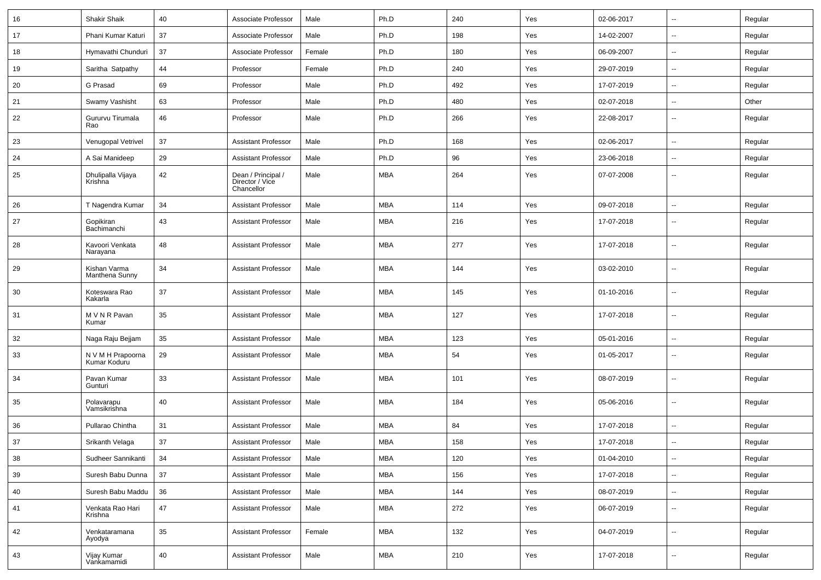| 16 | <b>Shakir Shaik</b>               | 40     | Associate Professor                                 | Male   | Ph.D       | 240 | Yes | 02-06-2017 | $\overline{\phantom{a}}$ | Regular |
|----|-----------------------------------|--------|-----------------------------------------------------|--------|------------|-----|-----|------------|--------------------------|---------|
| 17 | Phani Kumar Katuri                | 37     | Associate Professor                                 | Male   | Ph.D       | 198 | Yes | 14-02-2007 | $\overline{\phantom{a}}$ | Regular |
| 18 | Hymavathi Chunduri                | 37     | Associate Professor                                 | Female | Ph.D       | 180 | Yes | 06-09-2007 | $\overline{\phantom{a}}$ | Regular |
| 19 | Saritha Satpathy                  | 44     | Professor                                           | Female | Ph.D       | 240 | Yes | 29-07-2019 | $\overline{\phantom{a}}$ | Regular |
| 20 | G Prasad                          | 69     | Professor                                           | Male   | Ph.D       | 492 | Yes | 17-07-2019 | $\sim$                   | Regular |
| 21 | Swamy Vashisht                    | 63     | Professor                                           | Male   | Ph.D       | 480 | Yes | 02-07-2018 | $\sim$                   | Other   |
| 22 | Gururvu Tirumala<br>Rao           | 46     | Professor                                           | Male   | Ph.D       | 266 | Yes | 22-08-2017 | $\sim$                   | Regular |
| 23 | Venugopal Vetrivel                | 37     | <b>Assistant Professor</b>                          | Male   | Ph.D       | 168 | Yes | 02-06-2017 | $\sim$                   | Regular |
| 24 | A Sai Manideep                    | 29     | Assistant Professor                                 | Male   | Ph.D       | 96  | Yes | 23-06-2018 | $\overline{\phantom{a}}$ | Regular |
| 25 | Dhulipalla Vijaya<br>Krishna      | 42     | Dean / Principal /<br>Director / Vice<br>Chancellor | Male   | <b>MBA</b> | 264 | Yes | 07-07-2008 | $\overline{\phantom{a}}$ | Regular |
| 26 | T Nagendra Kumar                  | 34     | Assistant Professor                                 | Male   | <b>MBA</b> | 114 | Yes | 09-07-2018 | $\overline{\phantom{a}}$ | Regular |
| 27 | Gopikiran<br>Bachimanchi          | 43     | <b>Assistant Professor</b>                          | Male   | <b>MBA</b> | 216 | Yes | 17-07-2018 | $\overline{\phantom{a}}$ | Regular |
| 28 | Kavoori Venkata<br>Narayana       | 48     | Assistant Professor                                 | Male   | <b>MBA</b> | 277 | Yes | 17-07-2018 | $\overline{\phantom{a}}$ | Regular |
| 29 | Kishan Varma<br>Manthena Sunny    | 34     | <b>Assistant Professor</b>                          | Male   | <b>MBA</b> | 144 | Yes | 03-02-2010 | $\overline{\phantom{a}}$ | Regular |
| 30 | Koteswara Rao<br>Kakarla          | 37     | <b>Assistant Professor</b>                          | Male   | <b>MBA</b> | 145 | Yes | 01-10-2016 | $\overline{\phantom{a}}$ | Regular |
| 31 | M V N R Pavan<br>Kumar            | 35     | <b>Assistant Professor</b>                          | Male   | <b>MBA</b> | 127 | Yes | 17-07-2018 | $\overline{\phantom{a}}$ | Regular |
| 32 | Naga Raju Bejjam                  | 35     | <b>Assistant Professor</b>                          | Male   | <b>MBA</b> | 123 | Yes | 05-01-2016 | $\overline{\phantom{a}}$ | Regular |
| 33 | N V M H Prapoorna<br>Kumar Koduru | 29     | <b>Assistant Professor</b>                          | Male   | <b>MBA</b> | 54  | Yes | 01-05-2017 | $\overline{\phantom{a}}$ | Regular |
| 34 | Pavan Kumar<br>Gunturi            | 33     | <b>Assistant Professor</b>                          | Male   | <b>MBA</b> | 101 | Yes | 08-07-2019 | $\sim$                   | Regular |
| 35 | Polavarapu<br>Vamsikrishna        | 40     | <b>Assistant Professor</b>                          | Male   | <b>MBA</b> | 184 | Yes | 05-06-2016 | $\overline{\phantom{a}}$ | Regular |
| 36 | Pullarao Chintha                  | 31     | <b>Assistant Professor</b>                          | Male   | <b>MBA</b> | 84  | Yes | 17-07-2018 | $\overline{\phantom{a}}$ | Regular |
| 37 | Srikanth Velaga                   | 37     | <b>Assistant Professor</b>                          | Male   | MBA        | 158 | Yes | 17-07-2018 | $\overline{\phantom{a}}$ | Regular |
| 38 | Sudheer Sannikanti                | 34     | <b>Assistant Professor</b>                          | Male   | <b>MBA</b> | 120 | Yes | 01-04-2010 | $\overline{\phantom{a}}$ | Regular |
| 39 | Suresh Babu Dunna                 | 37     | Assistant Professor                                 | Male   | <b>MBA</b> | 156 | Yes | 17-07-2018 | $\overline{\phantom{a}}$ | Regular |
| 40 | Suresh Babu Maddu                 | $36\,$ | <b>Assistant Professor</b>                          | Male   | <b>MBA</b> | 144 | Yes | 08-07-2019 | $\sim$                   | Regular |
| 41 | Venkata Rao Hari<br>Krishna       | 47     | <b>Assistant Professor</b>                          | Male   | <b>MBA</b> | 272 | Yes | 06-07-2019 | $\overline{\phantom{a}}$ | Regular |
| 42 | Venkataramana<br>Ayodya           | 35     | <b>Assistant Professor</b>                          | Female | <b>MBA</b> | 132 | Yes | 04-07-2019 | $\overline{\phantom{a}}$ | Regular |
| 43 | Vijay Kumar<br>Vankamamidi        | 40     | Assistant Professor                                 | Male   | <b>MBA</b> | 210 | Yes | 17-07-2018 | $\overline{\phantom{a}}$ | Regular |